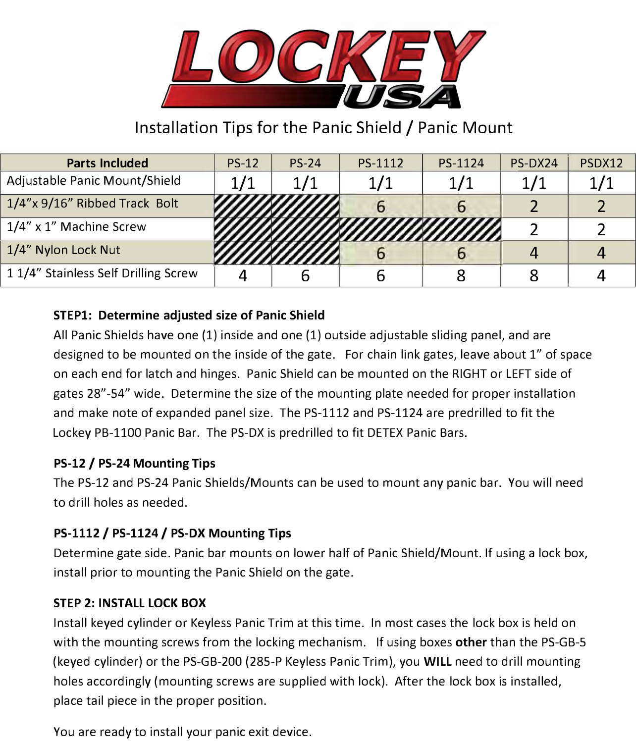

# Installation Tips for the Panic Shield/ Panic Mount

| <b>Parts Included</b>               | $PS-12$ | $PS-24$ | PS-1112 | PS-1124 | PS-DX24 | PSDX12 |
|-------------------------------------|---------|---------|---------|---------|---------|--------|
| Adjustable Panic Mount/Shield       |         | 1/1     | 1/1     | 1/1     |         |        |
| 1/4"x 9/16" Ribbed Track Bolt       |         |         |         |         |         |        |
| 1/4" x 1" Machine Screw             |         |         |         |         |         |        |
| 1/4" Nylon Lock Nut                 |         |         |         |         |         |        |
| 11/4" Stainless Self Drilling Screw |         |         |         |         |         |        |

# **STEPl: Determine adjusted size of Panic Shield**

All Panic Shields have one (1) inside and one (1) outside adjustable sliding panel, and are designed to be mounted on the inside of the gate. For chain link gates, leave about 1" of space on each end for latch and hinges. Panic Shield can be mounted on the RIGHT or LEFT side of gates 28"-54" wide. Determine the size of the mounting plate needed for proper installation and make note of expanded panel size. The PS-1112 and PS-1124 are predrilled to fit the Lockey PB-1100 Panic Bar. The PS-DX is predrilled to fit DETEX Panic Bars.

# **PS-12 / PS-24 Mounting Tips**

The PS-12 and PS-24 Panic Shields/Mounts can be used to mount any panic bar. You will need to drill holes as needed.

# **PS-1112 / PS-1124 / PS-DX Mounting Tips**

Determine gate side. Panic bar mounts on lower half of Panic Shield/Mount. If using a lock box, install prior to mounting the Panic Shield on the gate.

#### **STEP 2: INSTALL LOCK BOX**

Install keyed cylinder or Keyless Panic Trim at this time. In most cases the lock box is held on with the mounting screws from the locking mechanism. If using boxes **other** than the PS-GB-5 (keyed cylinder) or the PS-GB-200 {285-P Keyless Panic Trim), you **WILL** need to drill mounting holes accordingly (mounting screws are supplied with lock). After the lock box is installed, place tail piece in the proper position.

You are ready to install your panic exit device.